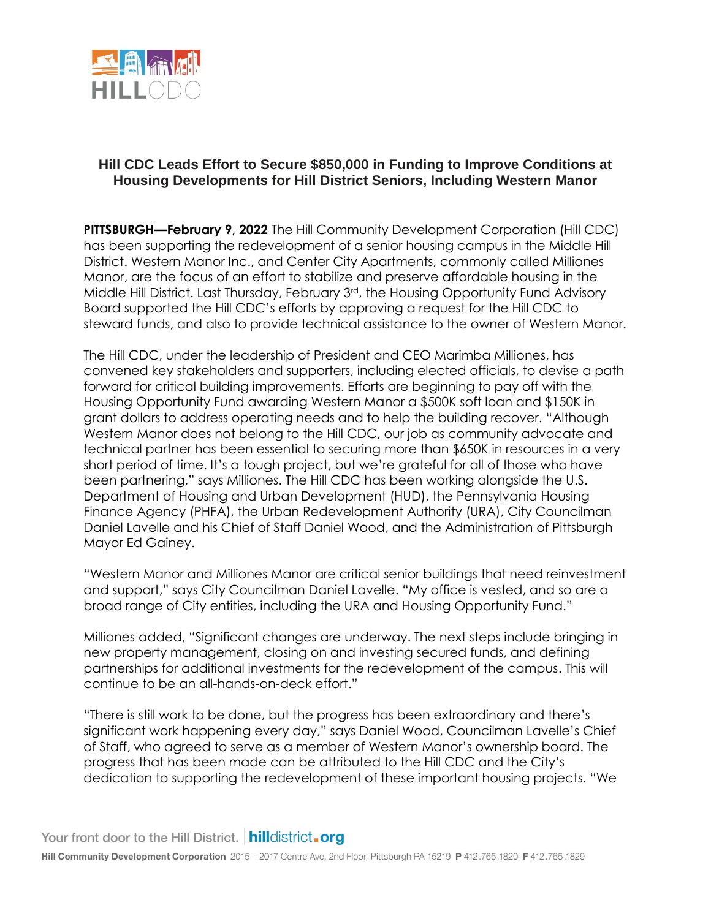

## **Hill CDC Leads Effort to Secure \$850,000 in Funding to Improve Conditions at Housing Developments for Hill District Seniors, Including Western Manor**

**PITTSBURGH—February 9, 2022** The Hill Community Development Corporation (Hill CDC) has been supporting the redevelopment of a senior housing campus in the Middle Hill District. Western Manor Inc., and Center City Apartments, commonly called Milliones Manor, are the focus of an effort to stabilize and preserve affordable housing in the Middle Hill District. Last Thursday, February 3<sup>rd</sup>, the Housing Opportunity Fund Advisory Board supported the Hill CDC's efforts by approving a request for the Hill CDC to steward funds, and also to provide technical assistance to the owner of Western Manor.

The Hill CDC, under the leadership of President and CEO Marimba Milliones, has convened key stakeholders and supporters, including elected officials, to devise a path forward for critical building improvements. Efforts are beginning to pay off with the Housing Opportunity Fund awarding Western Manor a \$500K soft loan and \$150K in grant dollars to address operating needs and to help the building recover. "Although Western Manor does not belong to the Hill CDC, our job as community advocate and technical partner has been essential to securing more than \$650K in resources in a very short period of time. It's a tough project, but we're grateful for all of those who have been partnering," says Milliones. The Hill CDC has been working alongside the U.S. Department of Housing and Urban Development (HUD), the Pennsylvania Housing Finance Agency (PHFA), the Urban Redevelopment Authority (URA), City Councilman Daniel Lavelle and his Chief of Staff Daniel Wood, and the Administration of Pittsburgh Mayor Ed Gainey.

"Western Manor and Milliones Manor are critical senior buildings that need reinvestment and support," says City Councilman Daniel Lavelle. "My office is vested, and so are a broad range of City entities, including the URA and Housing Opportunity Fund."

Milliones added, "Significant changes are underway. The next steps include bringing in new property management, closing on and investing secured funds, and defining partnerships for additional investments for the redevelopment of the campus. This will continue to be an all-hands-on-deck effort."

"There is still work to be done, but the progress has been extraordinary and there's significant work happening every day," says Daniel Wood, Councilman Lavelle's Chief of Staff, who agreed to serve as a member of Western Manor's ownership board. The progress that has been made can be attributed to the Hill CDC and the City's dedication to supporting the redevelopment of these important housing projects. "We